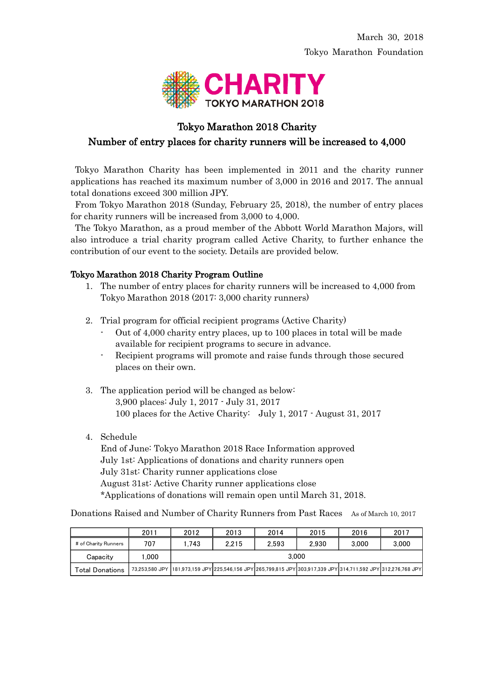

# Tokyo Marathon 2018 Charity Number of entry places for charity runners will be increased to 4,000

Tokyo Marathon Charity has been implemented in 2011 and the charity runner applications has reached its maximum number of 3,000 in 2016 and 2017. The annual total donations exceed 300 million JPY.

From Tokyo Marathon 2018 (Sunday, February 25, 2018), the number of entry places for charity runners will be increased from 3,000 to 4,000.

The Tokyo Marathon, as a proud member of the Abbott World Marathon Majors, will also introduce a trial charity program called Active Charity, to further enhance the contribution of our event to the society. Details are provided below.

# Tokyo Marathon 2018 Charity Program Outline

- 1. The number of entry places for charity runners will be increased to 4,000 from Tokyo Marathon 2018 (2017: 3,000 charity runners)
- 2. Trial program for official recipient programs (Active Charity)
	- Out of 4,000 charity entry places, up to 100 places in total will be made available for recipient programs to secure in advance.
	- Recipient programs will promote and raise funds through those secured places on their own.
- 3. The application period will be changed as below: 3,900 places: July 1, 2017 - July 31, 2017 100 places for the Active Charity: July 1, 2017 - August 31, 2017
- 4. Schedule

End of June: Tokyo Marathon 2018 Race Information approved July 1st: Applications of donations and charity runners open July 31st: Charity runner applications close August 31st: Active Charity runner applications close \*Applications of donations will remain open until March 31, 2018.

Donations Raised and Number of Charity Runners from Past Races As of March 10, 2017

|                      | 2011   | 2012  | 2013  | 2014  | 2015  | 2016                                                                                                            | 2017  |
|----------------------|--------|-------|-------|-------|-------|-----------------------------------------------------------------------------------------------------------------|-------|
| # of Charity Runners | 707    | 1.743 | 2.215 | 2.593 | 2.930 | 3.000                                                                                                           | 3.000 |
| Capacity             | 000. ا | 3.000 |       |       |       |                                                                                                                 |       |
| Total Donations      |        |       |       |       |       | 73,253,580 JPY  181,973,159 JPY 225,546,156 JPY 265,799,815 JPY 303,917,339 JPY 314,711,592 JPY 312,276,768 JPY |       |